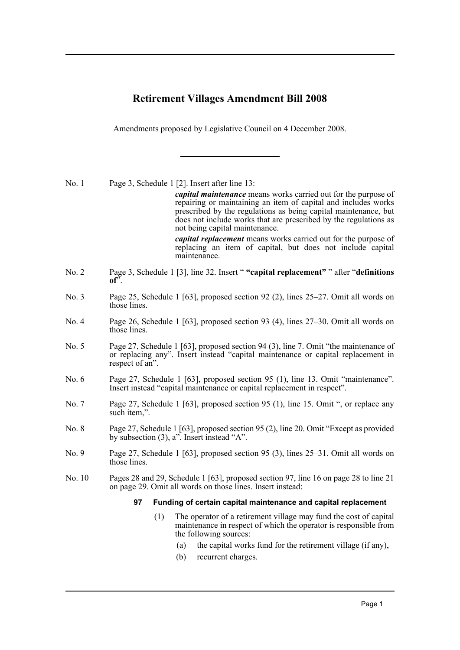# **Retirement Villages Amendment Bill 2008**

Amendments proposed by Legislative Council on 4 December 2008.

No. 1 Page 3, Schedule 1 [2]. Insert after line 13:

*capital maintenance* means works carried out for the purpose of repairing or maintaining an item of capital and includes works prescribed by the regulations as being capital maintenance, but does not include works that are prescribed by the regulations as not being capital maintenance.

*capital replacement* means works carried out for the purpose of replacing an item of capital, but does not include capital maintenance.

- No. 2 Page 3, Schedule 1 [3], line 32. Insert " **"capital replacement"** " after "**definitions**  $of^{\bar{z}}$ .
- No. 3 Page 25, Schedule 1 [63], proposed section 92 (2), lines 25–27. Omit all words on those lines.
- No. 4 Page 26, Schedule 1 [63], proposed section 93 (4), lines 27–30. Omit all words on those lines.
- No. 5 Page 27, Schedule 1 [63], proposed section 94 (3), line 7. Omit "the maintenance of or replacing any". Insert instead "capital maintenance or capital replacement in respect of an".
- No. 6 Page 27, Schedule 1 [63], proposed section 95 (1), line 13. Omit "maintenance". Insert instead "capital maintenance or capital replacement in respect".
- No. 7 Page 27, Schedule 1 [63], proposed section 95 (1), line 15. Omit ", or replace any such item,".
- No. 8 Page 27, Schedule 1 [63], proposed section 95 (2), line 20. Omit "Except as provided by subsection (3), a". Insert instead "A".
- No. 9 Page 27, Schedule 1 [63], proposed section 95 (3), lines 25–31. Omit all words on those lines.
- No. 10 Pages 28 and 29, Schedule 1 [63], proposed section 97, line 16 on page 28 to line 21 on page 29. Omit all words on those lines. Insert instead:

#### **97 Funding of certain capital maintenance and capital replacement**

- (1) The operator of a retirement village may fund the cost of capital maintenance in respect of which the operator is responsible from the following sources:
	- (a) the capital works fund for the retirement village (if any),
	- (b) recurrent charges.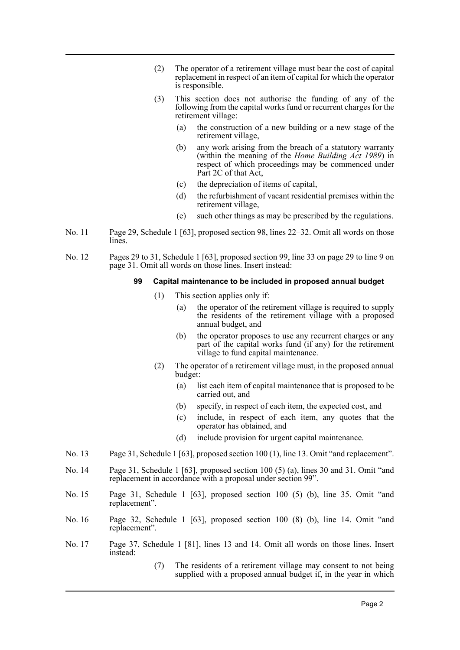- (2) The operator of a retirement village must bear the cost of capital replacement in respect of an item of capital for which the operator is responsible.
- (3) This section does not authorise the funding of any of the following from the capital works fund or recurrent charges for the retirement village:
	- (a) the construction of a new building or a new stage of the retirement village,
	- (b) any work arising from the breach of a statutory warranty (within the meaning of the *Home Building Act 1989*) in respect of which proceedings may be commenced under Part 2C of that Act,
	- (c) the depreciation of items of capital,
	- (d) the refurbishment of vacant residential premises within the retirement village,
	- (e) such other things as may be prescribed by the regulations.
- No. 11 Page 29, Schedule 1 [63], proposed section 98, lines 22–32. Omit all words on those lines.
- No. 12 Pages 29 to 31, Schedule 1 [63], proposed section 99, line 33 on page 29 to line 9 on page 31. Omit all words on those lines. Insert instead:

### **99 Capital maintenance to be included in proposed annual budget**

- (1) This section applies only if:
	- (a) the operator of the retirement village is required to supply the residents of the retirement village with a proposed annual budget, and
	- (b) the operator proposes to use any recurrent charges or any part of the capital works fund (if any) for the retirement village to fund capital maintenance.
- (2) The operator of a retirement village must, in the proposed annual budget:
	- (a) list each item of capital maintenance that is proposed to be carried out, and
	- (b) specify, in respect of each item, the expected cost, and
	- (c) include, in respect of each item, any quotes that the operator has obtained, and
	- (d) include provision for urgent capital maintenance.
- No. 13 Page 31, Schedule 1 [63], proposed section 100 (1), line 13. Omit "and replacement".
- No. 14 Page 31, Schedule 1 [63], proposed section 100 (5) (a), lines 30 and 31. Omit "and replacement in accordance with a proposal under section 99".
- No. 15 Page 31, Schedule 1 [63], proposed section 100 (5) (b), line 35. Omit "and replacement".
- No. 16 Page 32, Schedule 1 [63], proposed section 100 (8) (b), line 14. Omit "and replacement".
- No. 17 Page 37, Schedule 1 [81], lines 13 and 14. Omit all words on those lines. Insert instead:
	- (7) The residents of a retirement village may consent to not being supplied with a proposed annual budget if, in the year in which